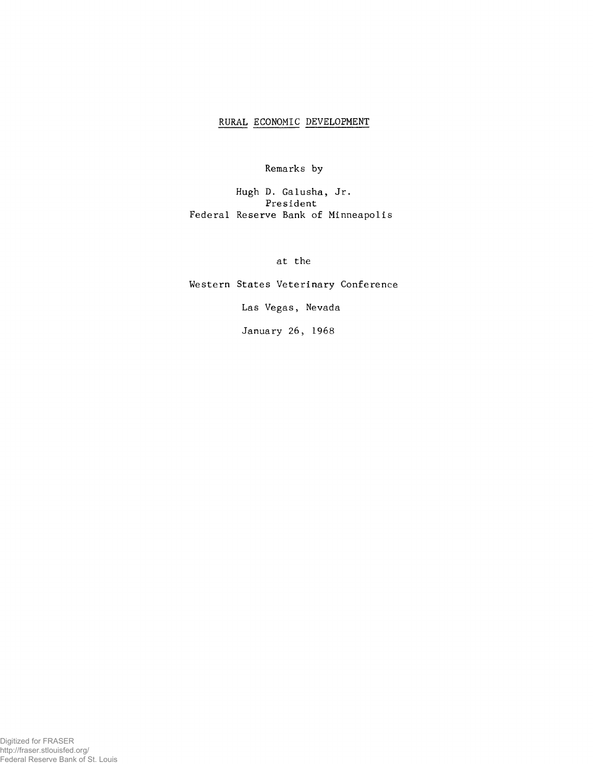## RURAL ECONOMIC DEVELOPMENT

**Remarks by**

**Hugh D. Galusha, Jr. President Federal Reserve Bank of Minneapolis**

**at the**

**Western States Veterinary Conference**

**Las Vegas, Nevada**

**January 26, 1968**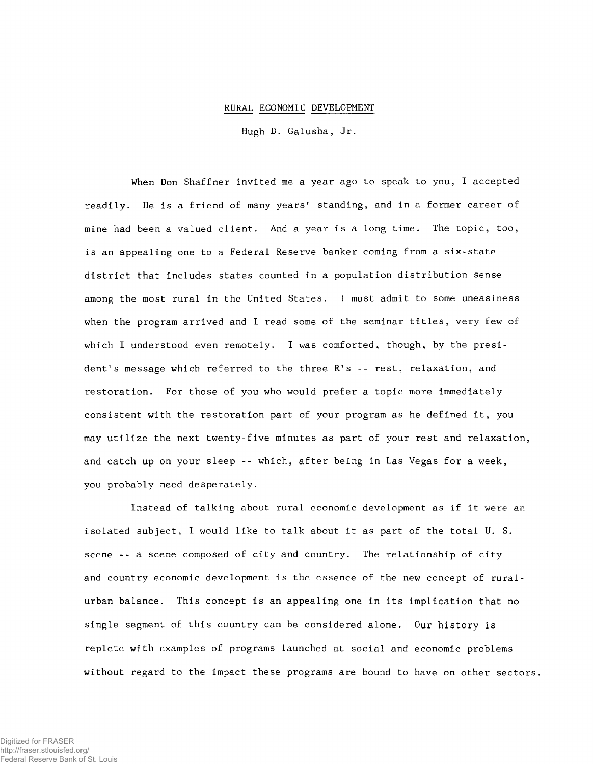## RURAL ECONOMIC DEVELOPMENT

**Hugh D. Galusha, Jr.**

**When Don Shaffner invited me a year ago to speak to you, I accepted** readily. He is a friend of many years' standing, and in a former career of **mine had been a valued client. And a year is a long time. The topic, too, is an appealing one to a Federal Reserve banker coming from a six-state district that includes states counted in a population distribution sense among the most rural in the United States. I must admit to some uneasiness when the program arrived and I read some of the seminar titles, very few of** which I understood even remotely. I was comforted, though, by the president's message which referred to the three R's -- rest, relaxation, and **restoration. For those of you who would prefer a topic more immediately consistent with the restoration part of your program as he defined it, you may utilize the next twenty-five minutes as part of your rest and relaxation, and catch up on your sleep -- which, after being in Las Vegas for a week, you probably need desperately.**

**Instead of talking about rural economic development as if it were an isolated subject, I would like to talk about it as part of the total U. S. scene - - a scene composed of city and country. The relationship of city and country economic development is the essence of the new concept of ruralurban balance. This concept is an appealing one in its implication that no single segment of this country can be considered alone. Our history is replete with examples of programs launched at social and economic problems without regard to the impact these programs are bound to have on other sectors.**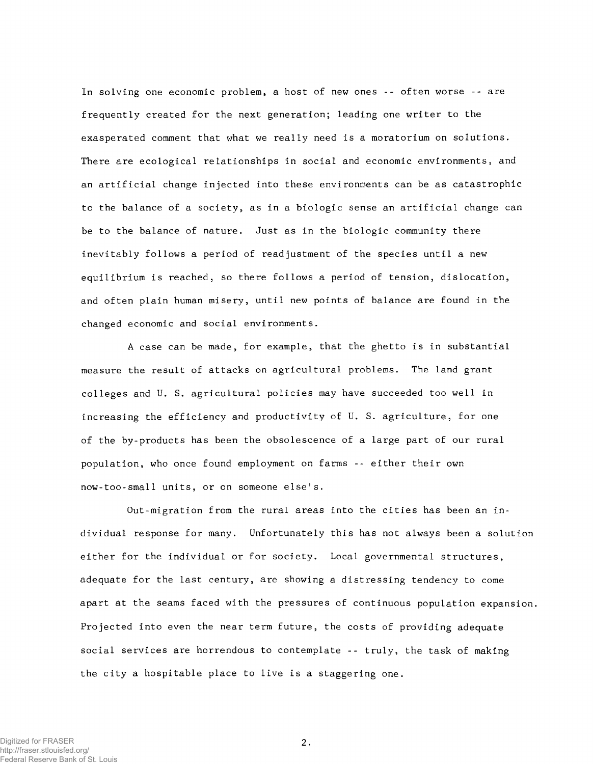**In solving one economic problem, a host of new ones -- often worse -- are frequently created for the next generation; leading one writer to the exasperated comment that what we really need is a moratorium on solutions. There are ecological relationships in social and economic environments, and an artificial change injected into these environments can be as catastrophic to the balance of a society, as in a biologic sense an artificial change can be to the balance of nature. Just as in the biologic community there inevitably follows a period of readjustment of the species until a new equilibrium is reached, so there follows a period of tension, dislocation, and often plain human misery, until new points of balance are found in the changed economic and social environments.**

**A case can be made, for example, that the ghetto is in substantial measure the result of attacks on agricultural problems. The land grant colleges and U. S. agricultural policies may have succeeded too well in increasing the efficiency and productivity of U. S. agriculture, for one of the by-products has been the obsolescence of a large part of our rural population, who once found employment on farms -- either their own now-too- sma l1 units, or on someone else's.**

**Out-migration from the rural areas into the cities has been an individual response for many. Unfortunately this has not always been a solution either for the individual or for society. Local governmental structures, adequate for the last century, are showing a distressing tendency to come apart at the seams faced with the pressures of continuous population expansion. Projected into even the near term future, the costs of providing adequate social services are horrendous to contemplate -- truly, the task of making the city a hospitable place to live is a staggering one.**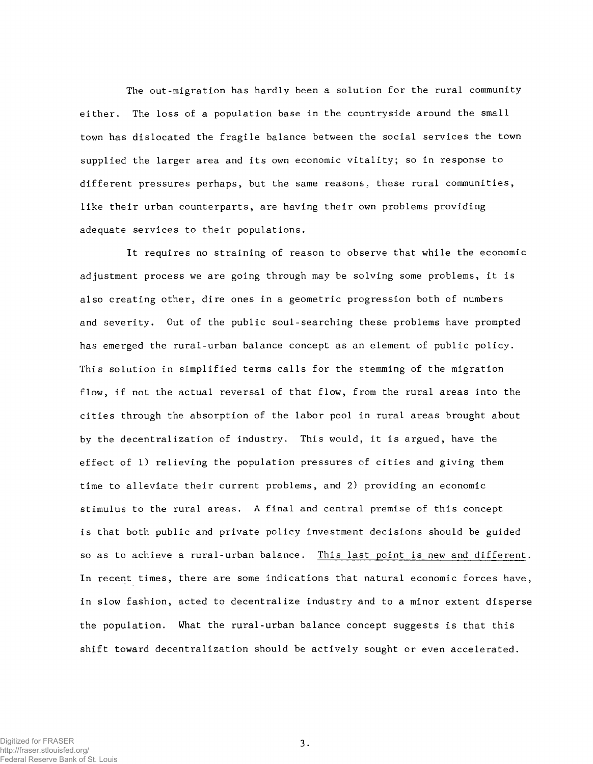**The out-migration has hardly been a solution for the rural community either. The loss of a population base in the countryside around the small town has dislocated the fragile balance between the social services the town supplied the larger area and its own economic vitality; so in response to different pressures perhaps, but the same reasons, these rural communities, like their urban counterparts, are having their own problems providing adequate services to their populations.**

**It requires no straining of reason to observe that while the economic adjustment process we are going through may be solving some problems, it is also creating other, dire ones in a geometric progression both of numbers and severity. Out of the public soul-searching these problems have prompted has emerged the rural-urban balance concept as an element of public policy. This solution in simplified terms calls for the stemming of the migration flow, if not the actual reversal of that flow, from the rural areas into the cities through the absorption of the labor pool in rural areas brought about by the decentralization of industry. This would, it is argued, have the effect of 1) relieving the population pressures of cities and giving them time to alleviate their current problems, and 2) providing an economic stimulus to the rural areas. A final and central premise of this concept is that both public and private policy investment decisions should be guided** so as to achieve a rural-urban balance. This last point is new and different. **In recent times, there are some indications that natural economic forces have, in slow fashion, acted to decentralize industry and to a minor extent disperse the population. What the rural-urban balance concept suggests is that this shift toward decentralization should be actively sought or even accelerated.**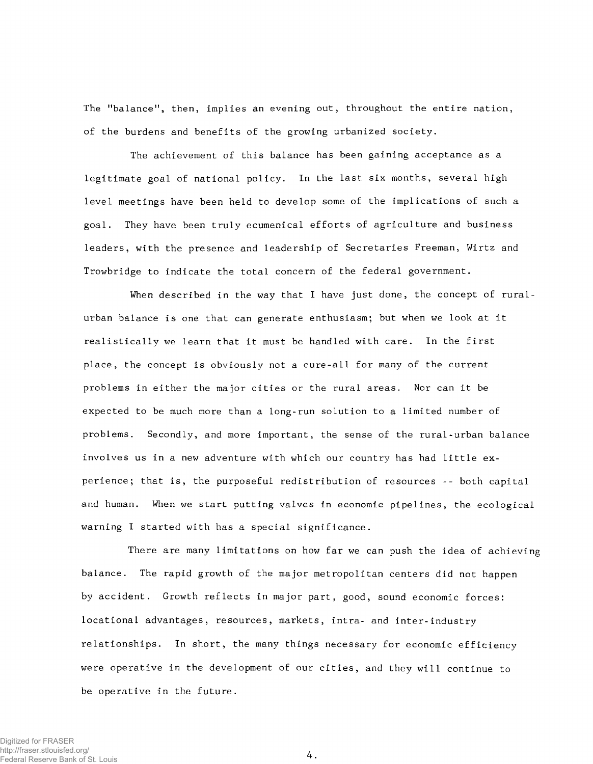**The "balance11, then, implies an evening out, throughout the entire nation, of the burdens and benefits of the growing urbanized society.**

**The achievement of this balance has been gaining acceptance as a legitimate goal of national policy. In the last six months, several high level meetings have been held to develop some of the implications of such a goal. They have been truly ecumenical efforts of agriculture and business leaders, with the presence and leadership of Secretaries Freeman, Wirtz and Trowbridge to indicate the total concern of the federal government.**

**When described in the way that I have just done, the concept of ruralurban balance is one that can generate enthusiasm; but when we look at it realistically we learn that it must be handled with care. In the first place, the concept is obviously not a cure-all for many of the current problems in either the major cities or the rural areas. Nor can it be expected to be much more than a long-run solution to a limited number of problems. Secondly, and more important, the sense of the rural-urban balance** involves us in a new adventure with which our country has had little ex**perience; that is, the purposeful redistribution of resources -- both capital and human. When we start putting valves in economic pipelines, the ecological warning I started with has a special significance.**

**There are many limitations on how far we can push the idea of achieving balance. The rapid growth of the major metropolitan centers did not happen by accident. Growth reflects in major part, good, sound economic forces: locational advantages, resources, markets, intra- and inter-industry relationships. In short, the many things necessary for economic efficiency were operative in the development of our cities, and they will continue to be operative in the future.**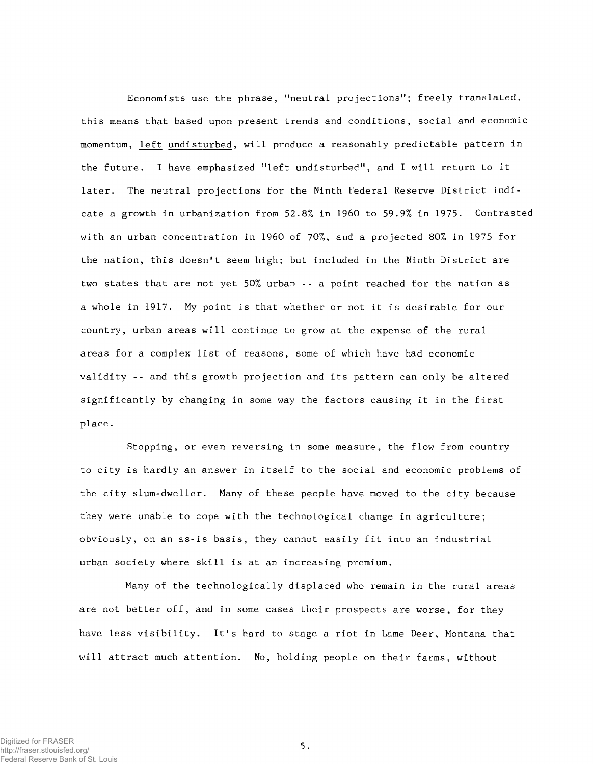**Economists use the phrase, "neutral projections11; freely translated, this means that based upon present trends and conditions, social and economic** momentum, left undisturbed, will produce a reasonably predictable pattern in **the future. I have emphasized Mleft undisturbed", and I will return to it later. The neutral projections for the Ninth Federal Reserve District indicate a growth in urbanization from 52.8% in 1960 to 59.9% in 1975. Contrasted with an urban concentration in 1960 of 70%, and a projected 80% in 1975 for the nation, this doesn't seem high; but included in the Ninth District are two states that are not yet 50% urban - - a point reached for the nation as a whole in 1917. My point is that whether or not it is desirable for our country, urban areas will continue to grow at the expense of the rural areas for a complex list of reasons, some of which have had economic validity -- and this growth projection and its pattern can only be altered significantly by changing in some way the factors causing it in the first place.**

**Stopping, or even reversing in some measure, the flow from country to city is hardly an answer in itself to the social and economic problems of the city slum-dweller. Many of these people have moved to the city because they were unable to cope with the technological change in agriculture; obviously, on an as-is basis, they cannot easily fit into an industrial urban society where skill is at an increasing premium.**

**Many of the technologically displaced who remain in the rural areas are not better off, and in some cases their prospects are worse, for they have less visibility. It's hard to stage a riot in Lame Deer, Montana that will attract much attention. No, holding people on their farms, without**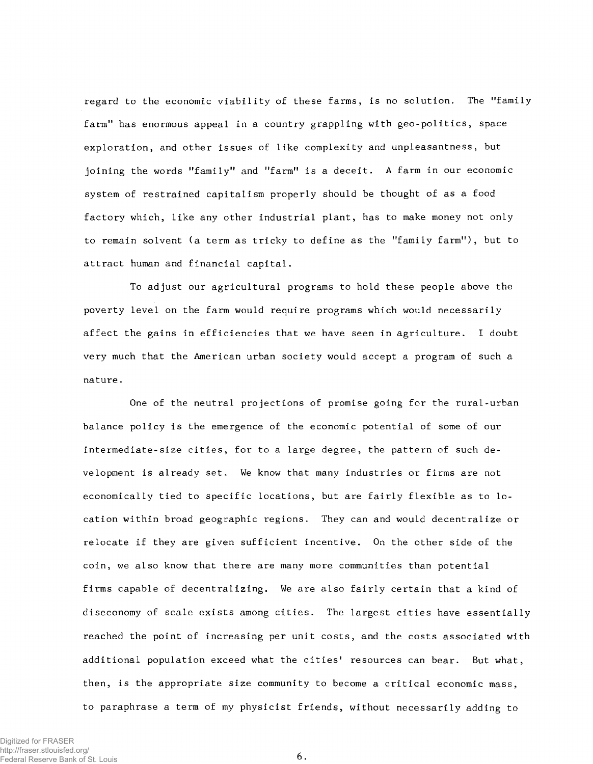**regard to the economic viability of these farms, is no solution. The "family farm" has enormous appeal in a country grappling with geo-politics, space exploration, and other issues of like complexity and unpleasantness, but joining the words "family" and "farm" is a deceit. A farm in our economic system of restrained capitalism properly should be thought of as a food factory which, like any other industrial plant, has to make money not only to remain solvent (a term as tricky to define as the "family farm"), but to attract human and financial capital.**

**To adjust our agricultural programs to hold these people above the poverty level on the farm would require programs which would necessarily affect the gains in efficiencies that we have seen in agriculture. I doubt very much that the American urban society would accept a program of such a nature.**

**One of the neutral projections of promise going for the rural-urban balance policy is the emergence of the economic potential of some of our** intermediate-size cities, for to a large degree, the pattern of such de**velopment is already set. We know that many industries or firms are not economically tied to specific locations, but are fairly flexible as to location within broad geographic regions. They can and would decentralize or relocate if they are given sufficient incentive. On the other side of the coin, we also know that there are many more communities than potential firms capable of decentralizing. We are also fairly certain that a kind of diseconomy of scale exists among cities. The largest cities have essentially reached the point of increasing per unit costs, and the costs associated with** additional population exceed what the cities' resources can bear. But what, **then, is the appropriate size community to become a critical economic mass, to paraphrase a term of my physicist friends, without necessarily adding to**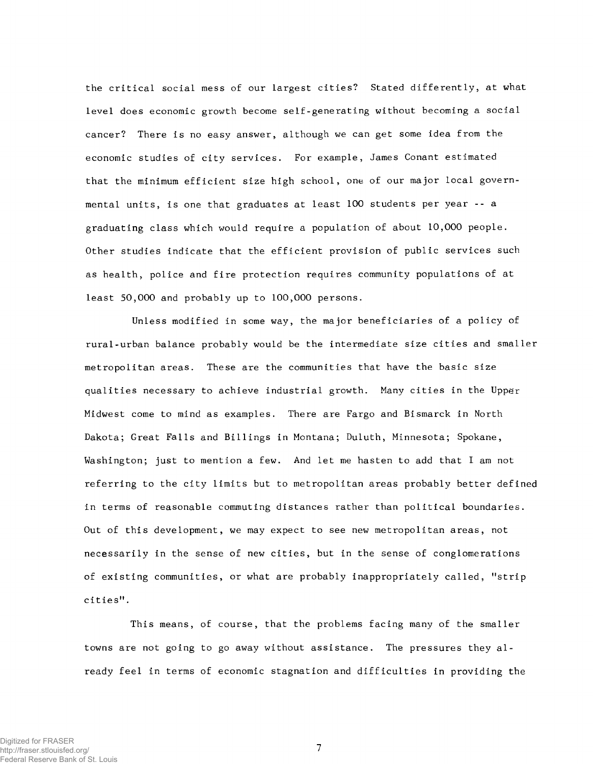**the critical social mess of our largest cities? Stated differently, at what level does economic growth become self-generating without becoming a social cancer? There is no easy answer, although we can get some idea from the economic studies of city services. For example, James Conant estimated that the minimum efficient size high school, one of our major local governmental units, is one that graduates at least 100 students per year - - a graduating class which would require a population of about 10,000 people. Other studies indicate that the efficient provision of public services such as health, police and fire protection requires community populations of at least 50,000 and probably up to 100,000 persons.**

**Unless modified in some way, the major beneficiaries of a policy of rural-urban balance probably would be the intermediate size cities and smaller metropolitan areas. These are the communities that have the basic size qualities necessary to achieve industrial growth. Many cities in the Upper Midwest come to mind as examples. There are Fargo and Bismarck in North Dakota; Great Falls and Billings in Montana; Duluth, Minnesota; Spokane, Washington; just to mention a few. And let me hasten to add that I am not referring to the city limits but to metropolitan areas probably better defined in terms of reasonable commuting distances rather than political boundaries. Out of this development, we may expect to see new metropolitan areas, not necessarily in the sense of new cities, but in the sense of conglomerations of existing communities, or what are probably inappropriately called, "strip cities".**

**This means, of course, that the problems facing many of the smaller** towns are not going to go away without assistance. The pressures they al**ready feel in terms of economic stagnation and difficulties in providing the**

7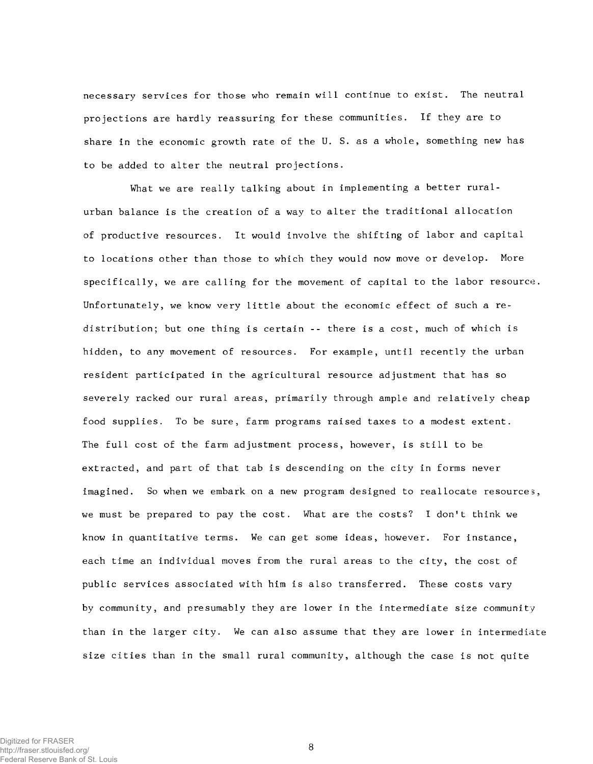**necessary services for those who remain will continue to exist. The neutral projections are hardly reassuring for these communities. If they are to share in the economic growth rate of the U. S. as a whole, something new has to be added to alter the neutral projections.**

**What we are really talking about in implementing a better ruralurban balance is the creation of a way to alter the traditional allocation of productive resources. It would involve the shifting of labor and capital to locations other than those to which they would now move or develop. More specifically, we are calling for the movement of capital to the labor resource. Unfortunately, we know very little about the economic effect of such a redistribution; but one thing is certain -- there is a cost, much of which is hidden, to any movement of resources. For example, until recently the urban resident participated in the agricultural resource adjustment that has so severely racked our rural areas, primarily through ample and relatively cheap food supplies. To be sure, farm programs raised taxes to a modest extent. The full cost of the farm adjustment process, however, is still to be extracted, and part of that tab is descending on the city in forms never imagined. So when we embark on a new program designed to reallocate resources, we must be prepared to pay the cost. What are the costs? I don't think we know in quantitative terms. We can get some ideas, however. For instance, each time an individual moves from the rural areas to the city, the cost of public services associated with him is also transferred. These costs vary by community, and presumably they are lower in the intermediate size community than in the larger city. We can also assume that they are lower in intermediate size cities than in the small rural community, although the case is not quite**

8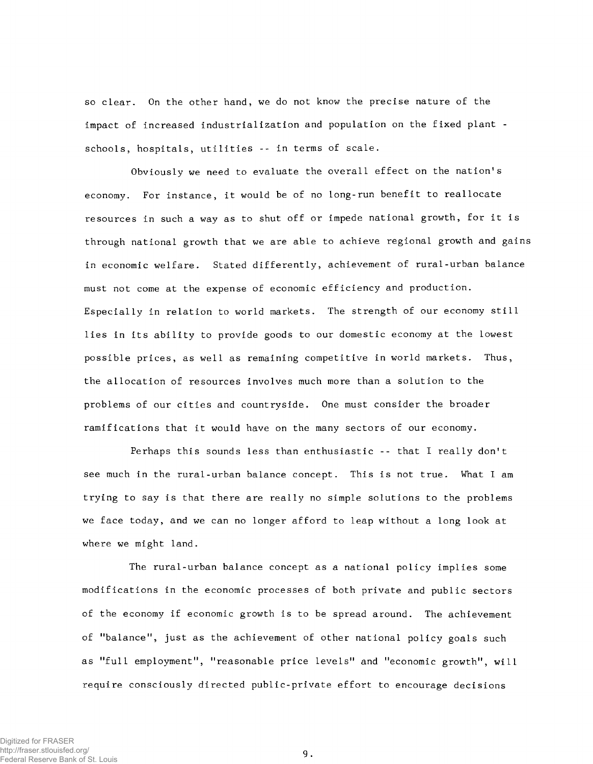**so clear. On the other hand, we do not know the precise nature of the impact of increased industrialization and population on the fixed plant schools, hospitals, utilities -- in terms of scale.**

**Obviously we need to evaluate the overall effect on the nation's economy. For instance, it would be of no long-run benefit to reallocate resources in such a way as to shut off or impede national growth, for it is through national growth that we are able to achieve regional growth and gains in economic welfare. Stated differently, achievement of rural-urban balance must not come at the expense of economic efficiency and production. Especially in relation to world markets. The strength of our economy still lies in its ability to provide goods to our domestic economy at the lowest possible prices, as well as remaining competitive in world markets. Thus, the allocation of resources involves much more than a solution to the problems of our cities and countryside. One must consider the broader ramifications that it would have on the many sectors of our economy.**

Perhaps this sounds less than enthusiastic -- that I really don't **see much in the rural-urban balance concept. This is not true. What I am trying to say is that there are really no simple solutions to the problems we face today, and we can no longer afford to leap without a long look at where we might land.**

**The rural-urban balance concept as a national policy implies some modifications in the economic processes of both private and public sectors of the economy if economic growth is to be spread around. The achievement of "balance11, just as the achievement of other national policy goals such as "full employment", "reasonable price levels" and "economic growth", will require consciously directed public-private effort to encourage decisions**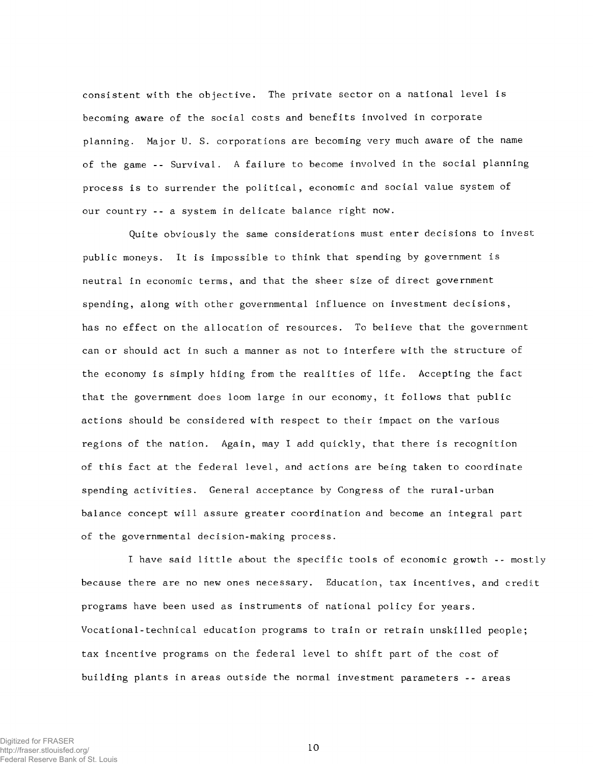**consistent with the objective. The private sector on a national level is becoming aware of the social costs and benefits involved in corporate planning. Major U. S. corporations are becoming very much aware of the name of the game -- Survival. A failure to become involved in the social planning process is to surrender the political, economic and social value system of our country -- a system in delicate balance right now.**

**Quite obviously the same considerations must enter decisions to invest public moneys. It is impossible to think that spending by government is neutral in economic terms, and that the sheer size of direct government spending, along with other governmental influence on investment decisions, has no effect on the allocation of resources. To believe that the government can or should act in such a manner as not to interfere with the structure of the economy is simply hiding from the realities of life. Accepting the fact that the government does loom large in our economy, it follows that public actions should be considered with respect to their impact on the various regions of the nation. Again, may I add quickly, that there is recognition of this fact at the federal level, and actions are being taken to coordinate spending activities. General acceptance by Congress of the rural-urban balance concept will assure greater coordination and become an integral part of the governmental decision-making process.**

**I have said little about the specific tools of economic growth -- mostly because there are no new ones necessary. Education, tax incentives, and credit programs have been used as instruments of national policy for years.** Vocational-technical education programs to train or retrain unskilled people; **tax incentive programs on the federal level to shift part of the cost of building plants in areas outside the normal investment parameters -- areas**

10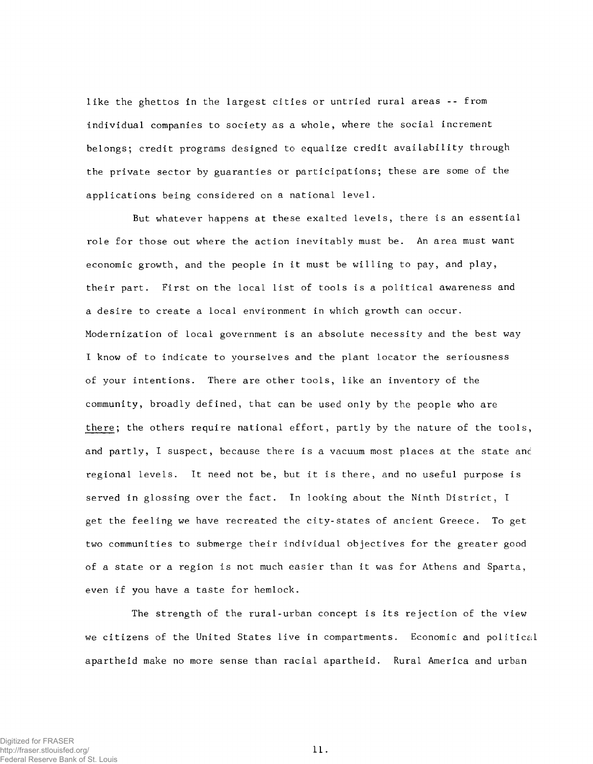**like the ghettos in the largest cities or untried rural areas -- from individual companies to society as a whole, where the social increment belongs; credit programs designed to equalize credit availability through the private sector by guaranties or participations; these are some of the applications being considered on a national level.**

**But whatever happens at these exalted levels, there is an essential role for those out where the action inevitably must be. An area must want economic growth, and the people in it must be willing to pay, and play, their part. First on the local list of tools is a political awareness and a desire to create a local environment in which growth can occur. Modernization of local government is an absolute necessity and the best way I know of to indicate to yourselves and the plant locator the seriousness of your intentions. There are other tools, like an inventory of the community, broadly defined, that can be used only by the people who are** there; the others require national effort, partly by the nature of the tools, **and partly, I suspect, because there is a vacuum most places at the state anc regional levels. It need not be, but it is there, and no useful purpose is served in glossing over the fact. In looking about the Ninth District, I get the feeling we have recreated the city-states of ancient Greece. To get two communities to submerge their individual objectives for the greater good of a state or a region is not much easier than it was for Athens and Sparta, even if you have a taste for hemlock.**

**The strength of the rural-urban concept is its rejection of the view we citizens of the United States live in compartments. Economic and political apartheid make no more sense than racial apartheid. Rural America and urban**